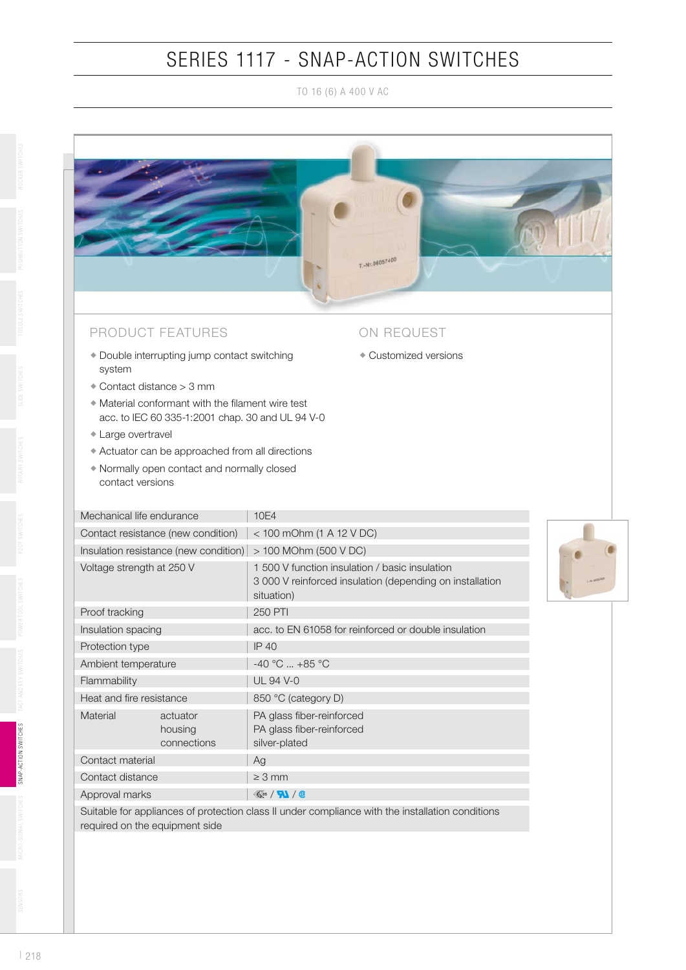## SERIES 1117 - SNAP-ACTION SWITCHES

TO 16 (6) A 400 V AC



| Approval marks                 | $\ll$ <sub>05</sub> / $\blacksquare$ / <b>0</b>                                                  |
|--------------------------------|--------------------------------------------------------------------------------------------------|
|                                |                                                                                                  |
|                                | Suitable for appliances of protection class II under compliance with the installation conditions |
| required on the equipment side |                                                                                                  |
|                                |                                                                                                  |

silver-plated

PA glass fiber-reinforced PA glass fiber-reinforced

Material actuator

 housing connections

Contact material Ag Contact distance  $\geq 3$  mm